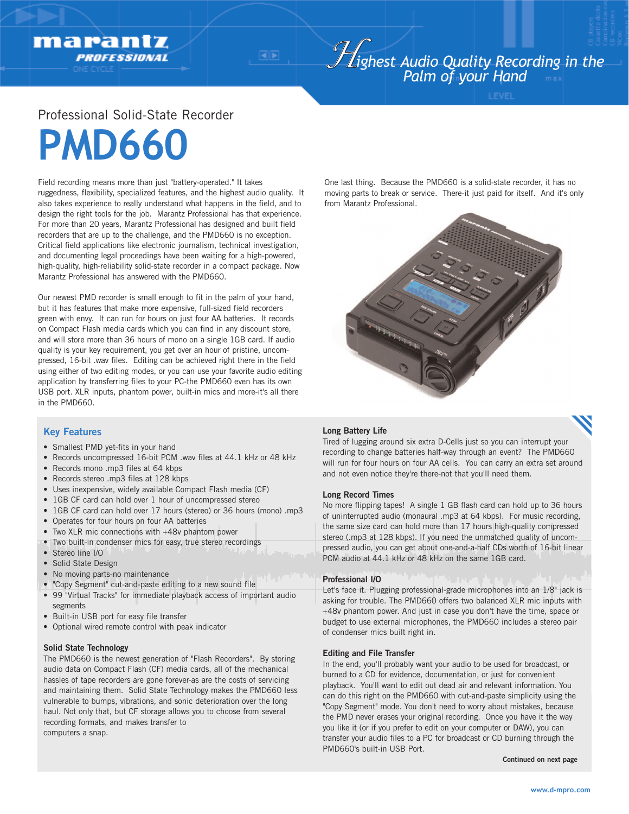# *<sup>H</sup>ighest Audio Quality Recording in the Palm of your Hand*

## Professional Solid-State Recorder

# **PMD660**

marantz

**PROFESSIONAL** 

Field recording means more than just "battery-operated." It takes ruggedness, flexibility, specialized features, and the highest audio quality. It also takes experience to really understand what happens in the field, and to design the right tools for the job. Marantz Professional has that experience. For more than 20 years, Marantz Professional has designed and built field recorders that are up to the challenge, and the PMD660 is no exception. Critical field applications like electronic journalism, technical investigation, and documenting legal proceedings have been waiting for a high-powered, high-quality, high-reliability solid-state recorder in a compact package. Now Marantz Professional has answered with the PMD660.

Our newest PMD recorder is small enough to fit in the palm of your hand, but it has features that make more expensive, full-sized field recorders green with envy. It can run for hours on just four AA batteries. It records on Compact Flash media cards which you can find in any discount store, and will store more than 36 hours of mono on a single 1GB card. If audio quality is your key requirement, you get over an hour of pristine, uncompressed, 16-bit .wav files. Editing can be achieved right there in the field using either of two editing modes, or you can use your favorite audio editing application by transferring files to your PC-the PMD660 even has its own USB port. XLR inputs, phantom power, built-in mics and more-it's all there in the PMD660.

One last thing. Because the PMD660 is a solid-state recorder, it has no moving parts to break or service. There-it just paid for itself. And it's only from Marantz Professional.



### **Key Features**

- Smallest PMD yet-fits in your hand
- Records uncompressed 16-bit PCM .wav files at 44.1 kHz or 48 kHz
- Records mono .mp3 files at 64 kbps
- Records stereo .mp3 files at 128 kbps
- Uses inexpensive, widely available Compact Flash media (CF)
- 1GB CF card can hold over 1 hour of uncompressed stereo
- 1GB CF card can hold over 17 hours (stereo) or 36 hours (mono) .mp3
- Operates for four hours on four AA batteries
- Two XLR mic connections with +48v phantom power
- Two built-in condenser mics for easy, true stereo recordings
- Stereo line I/O
- Solid State Design
- No moving parts-no maintenance
- "Copy Segment" cut-and-paste editing to a new sound file
- 99 "Virtual Tracks" for immediate playback access of important audio segments
- Built-in USB port for easy file transfer
- Optional wired remote control with peak indicator

#### **Solid State Technology**

The PMD660 is the newest generation of "Flash Recorders". By storing audio data on Compact Flash (CF) media cards, all of the mechanical hassles of tape recorders are gone forever-as are the costs of servicing and maintaining them. Solid State Technology makes the PMD660 less vulnerable to bumps, vibrations, and sonic deterioration over the long haul. Not only that, but CF storage allows you to choose from several recording formats, and makes transfer to computers a snap.

#### **Long Battery Life**

Tired of lugging around six extra D-Cells just so you can interrupt your recording to change batteries half-way through an event? The PMD660 will run for four hours on four AA cells. You can carry an extra set around and not even notice they're there-not that you'll need them.

#### **Long Record Times**

No more flipping tapes! A single 1 GB flash card can hold up to 36 hours of uninterrupted audio (monaural .mp3 at 64 kbps). For music recording, the same size card can hold more than 17 hours high-quality compressed stereo (.mp3 at 128 kbps). If you need the unmatched quality of uncompressed audio, you can get about one-and-a-half CDs worth of 16-bit linear PCM audio at 44.1 kHz or 48 kHz on the same 1GB card.

#### **Professional I/O**

Let's face it. Plugging professional-grade microphones into an 1/8" jack is asking for trouble. The PMD660 offers two balanced XLR mic inputs with +48v phantom power. And just in case you don't have the time, space or budget to use external microphones, the PMD660 includes a stereo pair of condenser mics built right in.

#### **Editing and File Transfer**

In the end, you'll probably want your audio to be used for broadcast, or burned to a CD for evidence, documentation, or just for convenient playback. You'll want to edit out dead air and relevant information. You can do this right on the PMD660 with cut-and-paste simplicity using the "Copy Segment" mode. You don't need to worry about mistakes, because the PMD never erases your original recording. Once you have it the way you like it (or if you prefer to edit on your computer or DAW), you can transfer your audio files to a PC for broadcast or CD burning through the PMD660's built-in USB Port.

**Continued on next page**